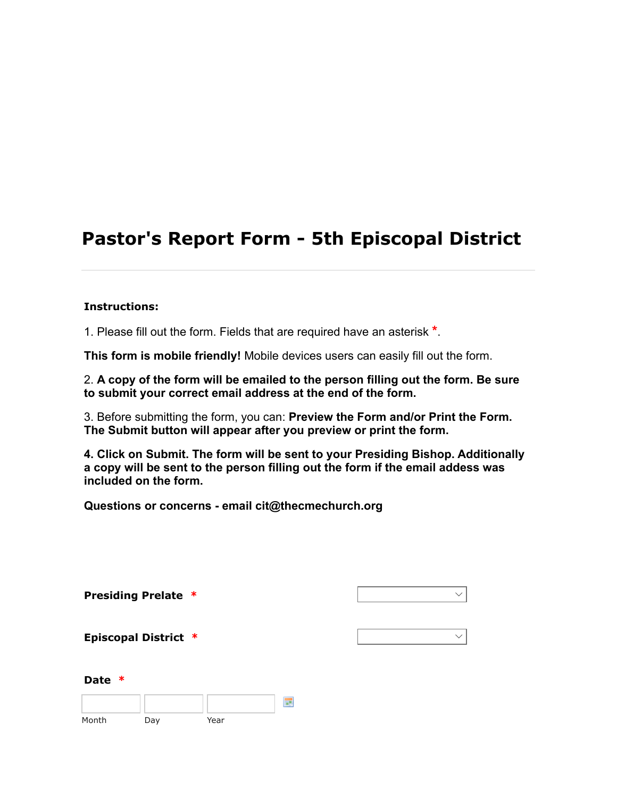# Pastor's Report Form - 5th Episcopal District

#### Instructions:

1. Please fill out the form. Fields that are required have an asterisk \*.

This form is mobile friendly! Mobile devices users can easily fill out the form.

2. A copy of the form will be emailed to the person filling out the form. Be sure to submit your correct email address at the end of the form.

3. Before submitting the form, you can: Preview the Form and/or Print the Form. The Submit button will appear after you preview or print the form.

4. Click on Submit. The form will be sent to your Presiding Bishop. Additionally a copy will be sent to the person filling out the form if the email addess was included on the form.

Questions or concerns - email cit@thecmechurch.org

|                  | <b>Presiding Prelate *</b>  |      |   | $\checkmark$ |
|------------------|-----------------------------|------|---|--------------|
|                  | <b>Episcopal District *</b> |      |   | $\checkmark$ |
| <b>Date</b><br>∗ |                             |      |   |              |
| Month            | Day                         | Year | 噩 |              |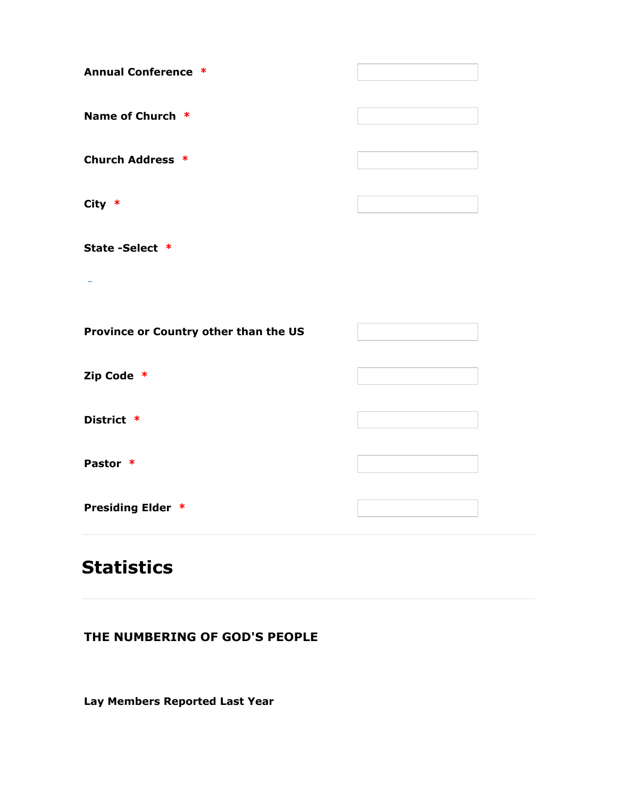| <b>Annual Conference *</b>            |  |
|---------------------------------------|--|
|                                       |  |
| Name of Church *                      |  |
|                                       |  |
| <b>Church Address *</b>               |  |
|                                       |  |
| City $*$                              |  |
|                                       |  |
| State-Select *                        |  |
|                                       |  |
|                                       |  |
|                                       |  |
| Province or Country other than the US |  |
|                                       |  |
|                                       |  |
| Zip Code *                            |  |
|                                       |  |
| District *                            |  |
|                                       |  |
| Pastor *                              |  |
|                                       |  |
| <b>Presiding Elder *</b>              |  |
|                                       |  |

# **Statistics**

# THE NUMBERING OF GOD'S PEOPLE

Lay Members Reported Last Year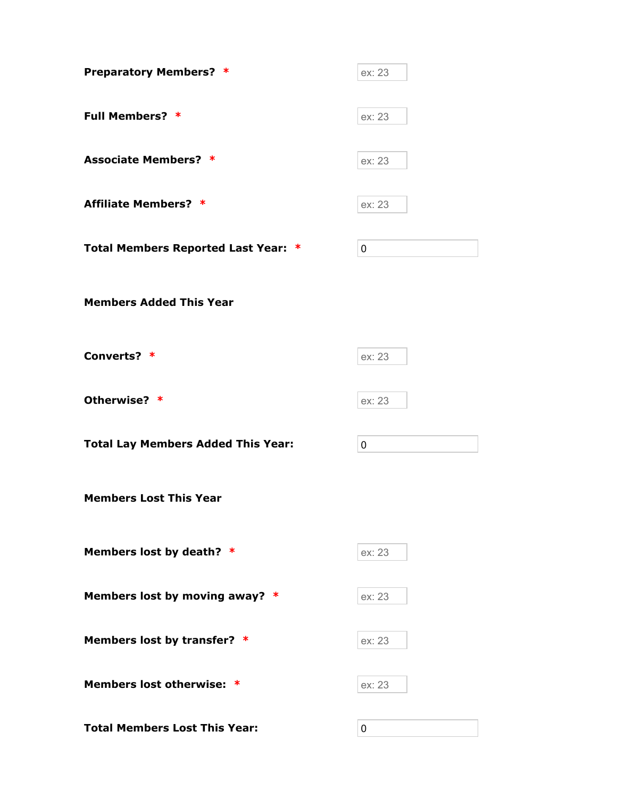| <b>Preparatory Members? *</b>             | ex: 23 |
|-------------------------------------------|--------|
| <b>Full Members? *</b>                    | ex: 23 |
| <b>Associate Members? *</b>               | ex: 23 |
| <b>Affiliate Members? *</b>               | ex: 23 |
| Total Members Reported Last Year: *       | 0      |
| <b>Members Added This Year</b>            |        |
| Converts? *                               | ex: 23 |
| Otherwise? *                              | ex: 23 |
| <b>Total Lay Members Added This Year:</b> | 0      |
| <b>Members Lost This Year</b>             |        |
| Members lost by death? *                  | ex: 23 |
| Members lost by moving away? *            | ex: 23 |
| Members lost by transfer? *               | ex: 23 |
| Members lost otherwise: *                 | ex: 23 |
| <b>Total Members Lost This Year:</b>      | 0      |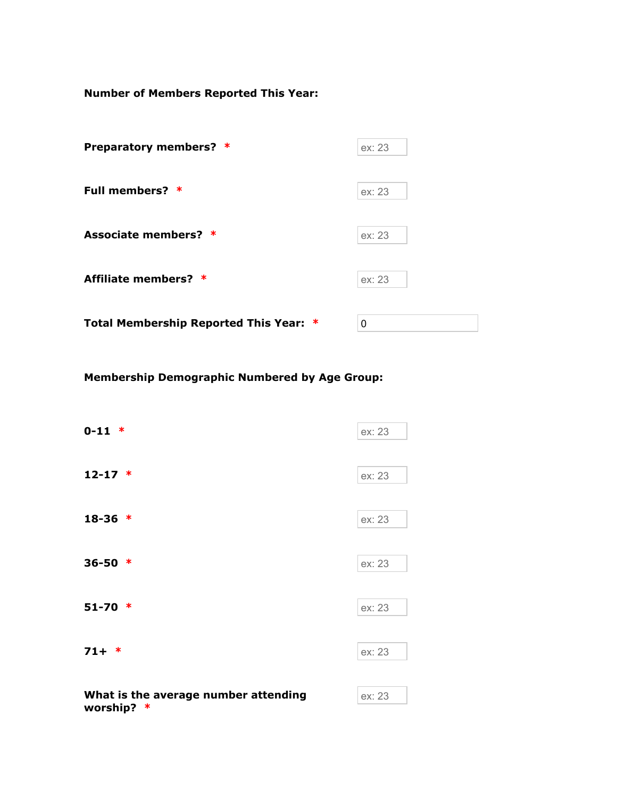Number of Members Reported This Year:

| Preparatory members? *                 | ex: 23 |
|----------------------------------------|--------|
| Full members? *                        | ex: 23 |
| Associate members? *                   | ex: 23 |
| Affiliate members? *                   | ex: 23 |
| Total Membership Reported This Year: * | 0      |

Membership Demographic Numbered by Age Group:

| $0-11 *$                                               | ex: 23 |
|--------------------------------------------------------|--------|
| $12 - 17$ *                                            | ex: 23 |
| $18-36$ *                                              | ex: 23 |
| $36 - 50$ *                                            | ex: 23 |
| $51-70$ *                                              | ex: 23 |
| $71 + *$                                               | ex: 23 |
| What is the average number attending<br>worship?<br>-∗ | ex: 23 |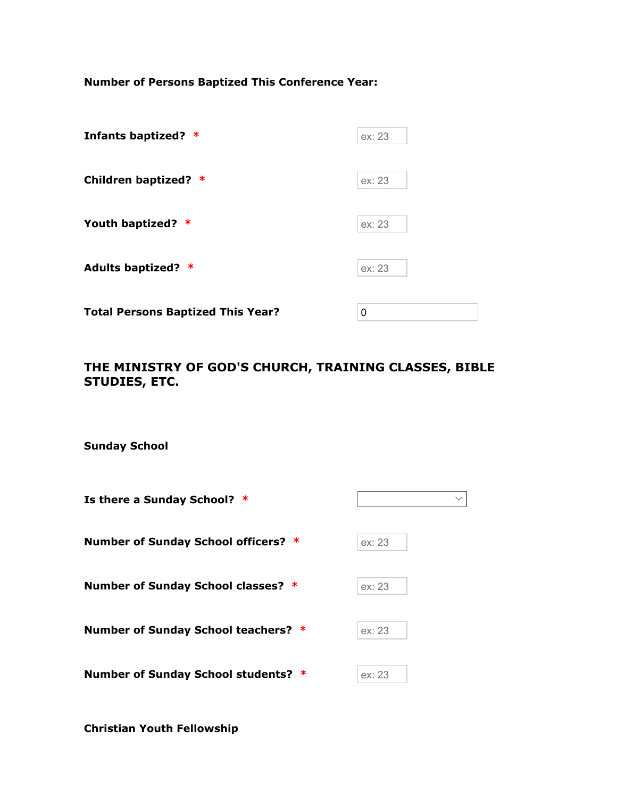Number of Persons Baptized This Conference Year:

| Infants baptized? *                      | ex: 23 |
|------------------------------------------|--------|
| Children baptized? *                     | ex: 23 |
| Youth baptized? *                        | ex: 23 |
| Adults baptized? *                       | ex: 23 |
| <b>Total Persons Baptized This Year?</b> | 0      |

## THE MINISTRY OF GOD'S CHURCH, TRAINING CLASSES, BIBLE STUDIES, ETC.

Sunday School

| Is there a Sunday School? *         | $\checkmark$ |
|-------------------------------------|--------------|
| Number of Sunday School officers? * | ex: 23       |
| Number of Sunday School classes? *  | ex: 23       |
| Number of Sunday School teachers? * | ex: 23       |
| Number of Sunday School students? * | ex: 23       |

Christian Youth Fellowship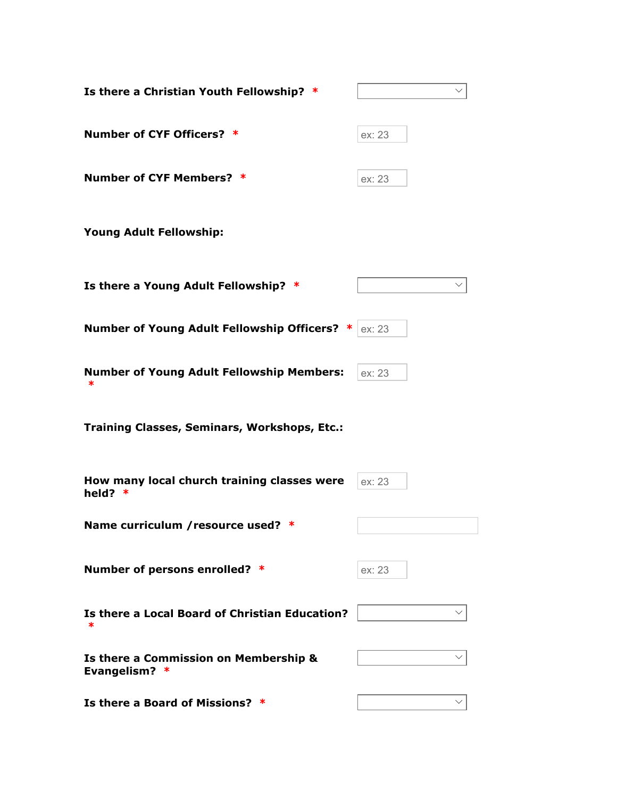| Is there a Christian Youth Fellowship? *                  |        |
|-----------------------------------------------------------|--------|
| Number of CYF Officers? *                                 | ex: 23 |
| Number of CYF Members? *                                  | ex: 23 |
| <b>Young Adult Fellowship:</b>                            |        |
| Is there a Young Adult Fellowship? *                      |        |
| Number of Young Adult Fellowship Officers? *              | ex: 23 |
| <b>Number of Young Adult Fellowship Members:</b><br>∗     | ex: 23 |
| <b>Training Classes, Seminars, Workshops, Etc.:</b>       |        |
| How many local church training classes were<br>held?<br>∗ | ex: 23 |
| Name curriculum / resource used? *                        |        |
| Number of persons enrolled? *                             | ex: 23 |
| Is there a Local Board of Christian Education?            |        |
| Is there a Commission on Membership &<br>Evangelism? *    |        |
| Is there a Board of Missions? *                           |        |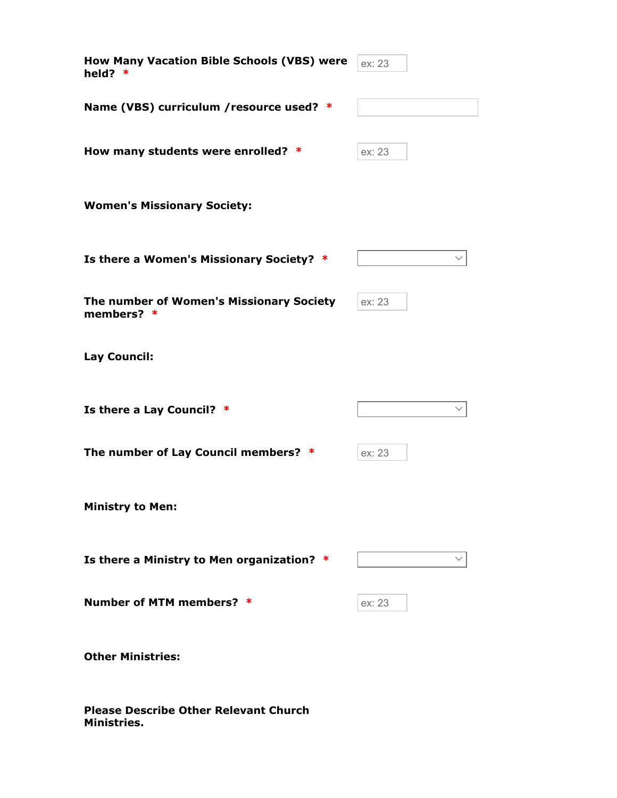| <b>How Many Vacation Bible Schools (VBS) were</b><br>held? $*$ | ex: 23 |
|----------------------------------------------------------------|--------|
| Name (VBS) curriculum / resource used? *                       |        |
| How many students were enrolled? *                             | ex: 23 |
| <b>Women's Missionary Society:</b>                             |        |
| Is there a Women's Missionary Society? *                       |        |
| The number of Women's Missionary Society<br>members? $*$       | ex: 23 |
| Lay Council:                                                   |        |
| Is there a Lay Council? *                                      |        |
| The number of Lay Council members? *                           | ex: 23 |
| <b>Ministry to Men:</b>                                        |        |
| Is there a Ministry to Men organization? *                     |        |
| Number of MTM members? *                                       | ex: 23 |
| <b>Other Ministries:</b>                                       |        |

Please Describe Other Relevant Church Ministries.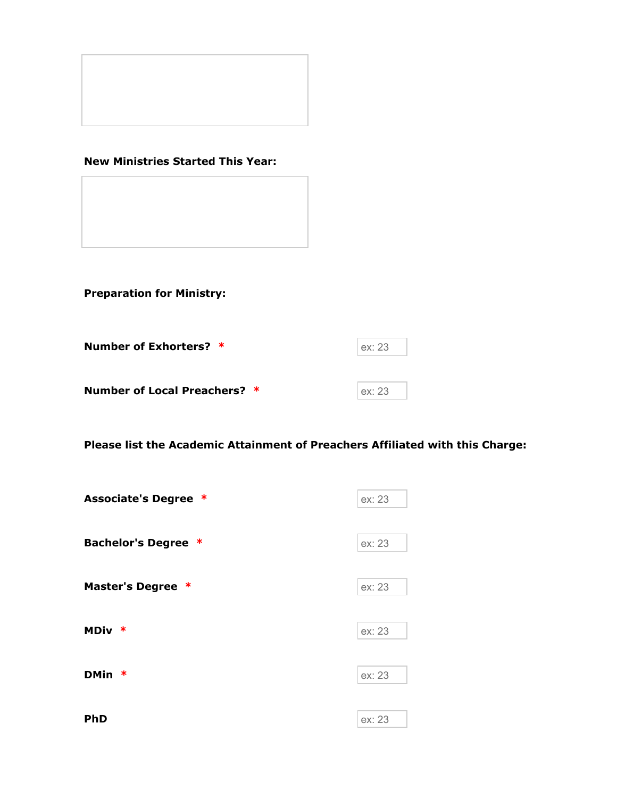

### New Ministries Started This Year:

Preparation for Ministry:

| Number of Exhorters? *       | ex: 23 |
|------------------------------|--------|
| Number of Local Preachers? * | ex: 23 |

Please list the Academic Attainment of Preachers Affiliated with this Charge:

| <b>Associate's Degree *</b> | ex: 23 |
|-----------------------------|--------|
|                             |        |
| <b>Bachelor's Degree *</b>  | ex: 23 |
|                             |        |
| Master's Degree *           | ex: 23 |
|                             |        |
| MDiv *                      | ex: 23 |
|                             |        |
| DMin *                      | ex: 23 |
|                             |        |
| <b>PhD</b>                  | ex: 23 |
|                             |        |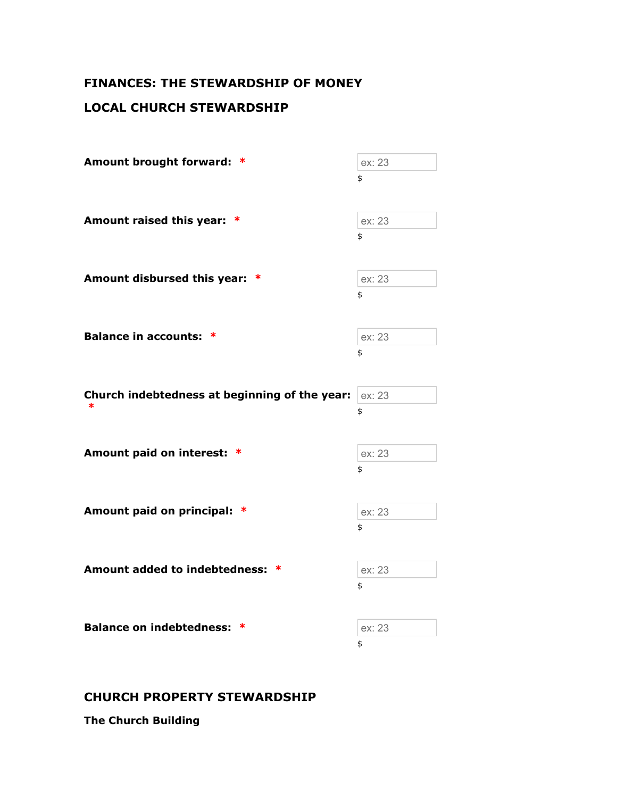# FINANCES: THE STEWARDSHIP OF MONEY

# LOCAL CHURCH STEWARDSHIP

| Amount brought forward: *                     | ex: 23 |
|-----------------------------------------------|--------|
|                                               | \$     |
| Amount raised this year: *                    | ex: 23 |
|                                               | \$     |
| Amount disbursed this year: *                 | ex: 23 |
|                                               | \$     |
| <b>Balance in accounts: *</b>                 | ex: 23 |
|                                               | \$     |
| Church indebtedness at beginning of the year: | ex: 23 |
|                                               |        |
| ∗                                             | \$     |
| Amount paid on interest: *                    | ex: 23 |
|                                               | \$     |
| Amount paid on principal: *                   | ex: 23 |
|                                               | \$     |
| <b>Amount added to indebtedness:</b><br>∗     | ex: 23 |
|                                               | \$     |
| Balance on indebtedness: *                    | ex: 23 |

# CHURCH PROPERTY STEWARDSHIP

The Church Building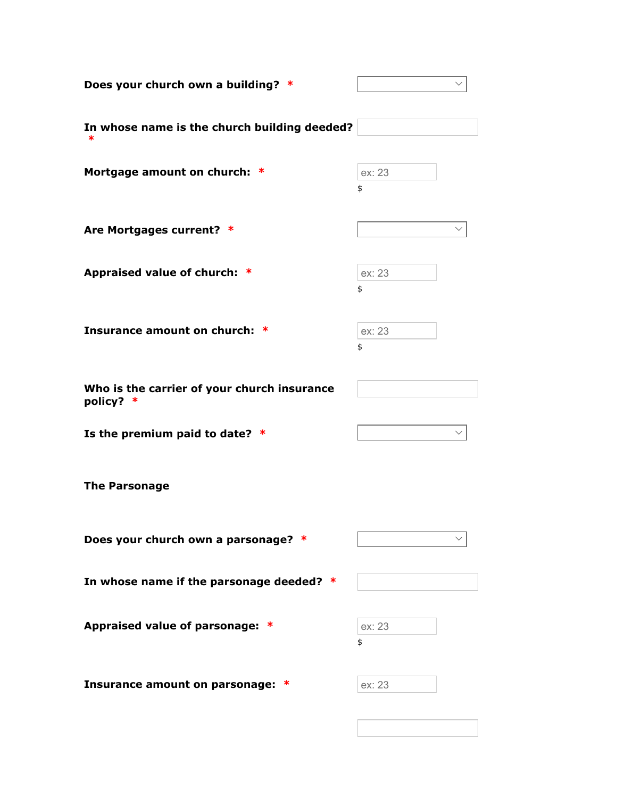| Does your church own a building? *                       |              |
|----------------------------------------------------------|--------------|
| In whose name is the church building deeded?             |              |
| Mortgage amount on church: *                             | ex: 23<br>\$ |
| Are Mortgages current? *                                 |              |
| Appraised value of church: *                             | ex: 23<br>\$ |
| Insurance amount on church: *                            | ex: 23<br>\$ |
| Who is the carrier of your church insurance<br>policy? * |              |
| Is the premium paid to date? *                           |              |
| <b>The Parsonage</b>                                     |              |
| Does your church own a parsonage? *                      |              |
| In whose name if the parsonage deeded?                   |              |
| Appraised value of parsonage: *                          | ex: 23<br>\$ |
| Insurance amount on parsonage:<br>∗                      | ex: 23       |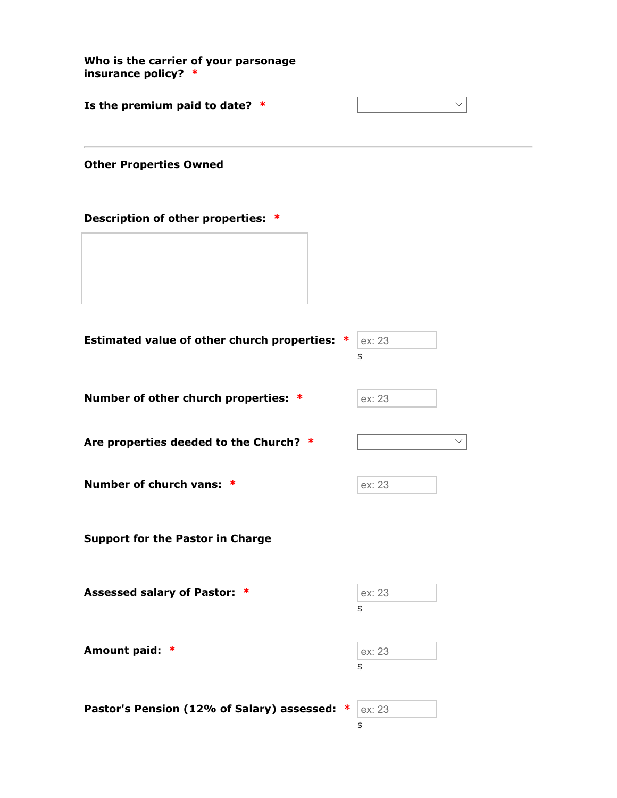Who is the carrier of your parsonage insurance policy? \* Is the premium paid to date?  $*$ Other Properties Owned Description of other properties: \* Estimated value of other church properties:  $* |$  ex: 23 \$ Number of other church properties:  $*$  ex: 23 Are properties deeded to the Church?  $*$   $\qquad \qquad \vee$ Number of church vans: \* ex: 23 Support for the Pastor in Charge Assessed salary of Pastor: \* ex: 23 \$ Amount paid: \* ex: 23 \$ Pastor's Pension (12% of Salary) assessed:  $*$  ex: 23 \$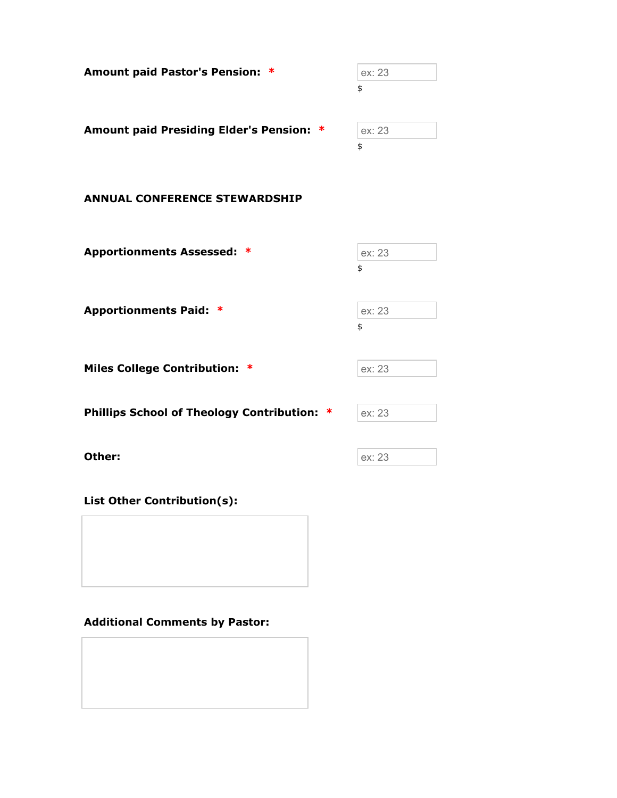| Amount paid Pastor's Pension: *          | ex: 23 |
|------------------------------------------|--------|
|                                          | \$     |
| Amount paid Presiding Elder's Pension: * | ex: 23 |
|                                          | \$     |

#### ANNUAL CONFERENCE STEWARDSHIP

| <b>Apportionments Assessed: *</b> | ex: 23 |
|-----------------------------------|--------|
|                                   | \$     |
|                                   |        |
| <b>Apportionments Paid: *</b>     | ex: 23 |
|                                   | \$     |
|                                   |        |

Miles College Contribution: \* ex: 23

Phillips School of Theology Contribution:  $*$  ex: 23

| Other: | ex: 23 |
|--------|--------|

List Other Contribution(s):

### Additional Comments by Pastor: